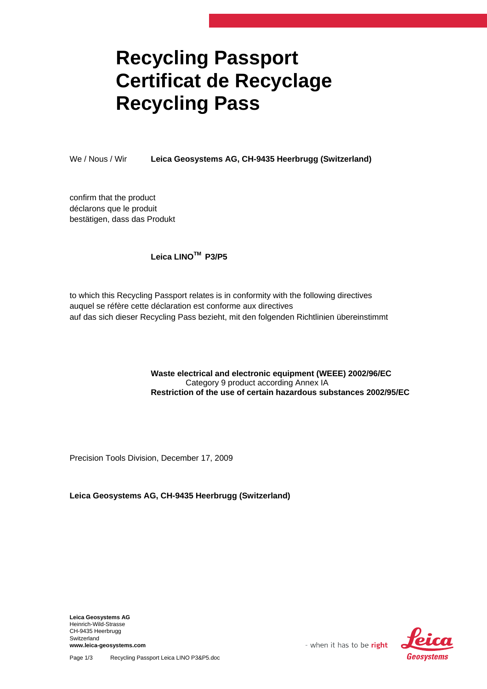## **Recycling Passport Certificat de Recyclage Recycling Pass**

We / Nous / Wir **Leica Geosystems AG, CH-9435 Heerbrugg (Switzerland)**

confirm that the product déclarons que le produit bestätigen, dass das Produkt

## **Leica LINOTM P3/P5**

to which this Recycling Passport relates is in conformity with the following directives auquel se réfère cette déclaration est conforme aux directives auf das sich dieser Recycling Pass bezieht, mit den folgenden Richtlinien übereinstimmt

## **Waste electrical and electronic equipment (WEEE) 2002/96/EC**  Category 9 product according Annex IA **Restriction of the use of certain hazardous substances 2002/95/EC**

Precision Tools Division, December 17, 2009

**Leica Geosystems AG, CH-9435 Heerbrugg (Switzerland)**

**Leica Geosystems AG**  Heinrich-Wild-Strasse CH-9435 Heerbrugg Switzerland **www.leica-geosystems.com** 



Page 1/3 Recycling Passport Leica LINO P3&P5.doc

- when it has to be right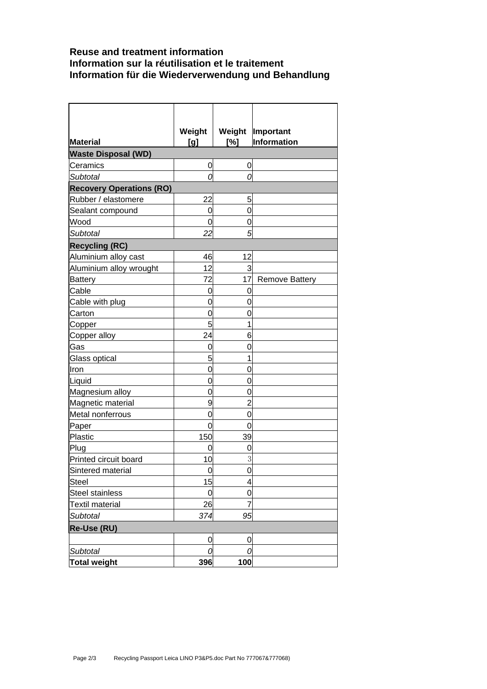## **Reuse and treatment information Information sur la réutilisation et le traitement Information für die Wiederverwendung und Behandlung**

 $\mathbf{r}$ 

|                                 | Weight |                | Weight  Important     |
|---------------------------------|--------|----------------|-----------------------|
| <b>Material</b>                 | [g]    | [%]            | Information           |
| <b>Waste Disposal (WD)</b>      |        |                |                       |
| Ceramics                        | 0      | 0              |                       |
| <b>Subtotal</b>                 | Ω      | 0              |                       |
| <b>Recovery Operations (RO)</b> |        |                |                       |
| Rubber / elastomere             | 22     | 5              |                       |
| Sealant compound                | 0      | 0              |                       |
| Wood                            | 0      | 0              |                       |
| Subtotal                        | 22     | 5              |                       |
| <b>Recycling (RC)</b>           |        |                |                       |
| Aluminium alloy cast            | 46     | 12             |                       |
| Aluminium alloy wrought         | 12     | 3              |                       |
| Battery                         | 72     | 17             | <b>Remove Battery</b> |
| Cable                           | 0      | 0              |                       |
| Cable with plug                 | 0      | 0              |                       |
| Carton                          | 0      | 0              |                       |
| <u>Copper</u>                   | 5      | 1              |                       |
| Copper alloy                    | 24     | 6              |                       |
| Gas                             | 0      | 0              |                       |
| Glass optical                   | 5      | 1              |                       |
| Iron                            | 0      | 0              |                       |
| Liquid                          | 0      | 0              |                       |
| Magnesium alloy                 | 0      | $\Omega$       |                       |
| Magnetic material               | 9      | $\overline{2}$ |                       |
| Metal nonferrous                | 0      | 0              |                       |
| Paper                           | 0      | $\mathbf 0$    |                       |
| Plastic                         | 150    | 39             |                       |
| Plug                            | 0      | 0              |                       |
| Printed circuit board           | 10     | 3              |                       |
| Sintered material               | 0      | $\mathbf 0$    |                       |
| Steel                           | 15     | 4              |                       |
| <b>Steel stainless</b>          | 0      | $\mathbf 0$    |                       |
| Textil material                 | 26     | 7              |                       |
| Subtotal                        | 374    | 95             |                       |
| Re-Use (RU)                     |        |                |                       |
|                                 | 0      | $\mathbf 0$    |                       |
| Subtotal                        | 0      | 0              |                       |
| <b>Total weight</b>             | 396    | 100            |                       |